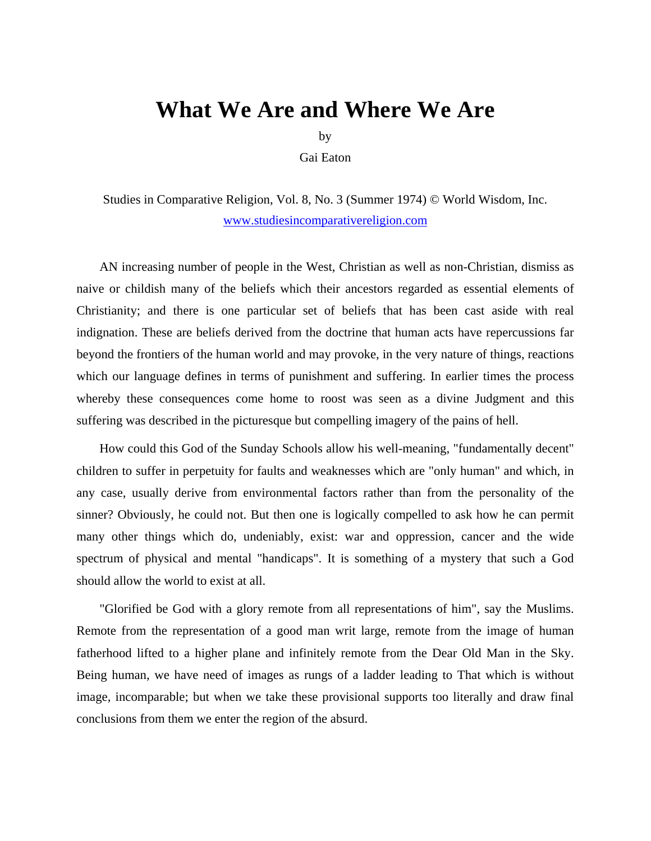## **What We Are and Where We Are**

by

Gai Eaton

Studies in Comparative Religion, Vol. 8, No. 3 (Summer 1974) © World Wisdom, Inc. [www.studiesincomparativereligion.com](http://www.studiesincomparativereligion.com/)

AN increasing number of people in the West, Christian as well as non-Christian, dismiss as naive or childish many of the beliefs which their ancestors regarded as essential elements of Christianity; and there is one particular set of beliefs that has been cast aside with real indignation. These are beliefs derived from the doctrine that human acts have repercussions far beyond the frontiers of the human world and may provoke, in the very nature of things, reactions which our language defines in terms of punishment and suffering. In earlier times the process whereby these consequences come home to roost was seen as a divine Judgment and this suffering was described in the picturesque but compelling imagery of the pains of hell.

How could this God of the Sunday Schools allow his well-meaning, "fundamentally decent" children to suffer in perpetuity for faults and weaknesses which are "only human" and which, in any case, usually derive from environmental factors rather than from the personality of the sinner? Obviously, he could not. But then one is logically compelled to ask how he can permit many other things which do, undeniably, exist: war and oppression, cancer and the wide spectrum of physical and mental "handicaps". It is something of a mystery that such a God should allow the world to exist at all.

"Glorified be God with a glory remote from all representations of him", say the Muslims. Remote from the representation of a good man writ large, remote from the image of human fatherhood lifted to a higher plane and infinitely remote from the Dear Old Man in the Sky. Being human, we have need of images as rungs of a ladder leading to That which is without image, incomparable; but when we take these provisional supports too literally and draw final conclusions from them we enter the region of the absurd.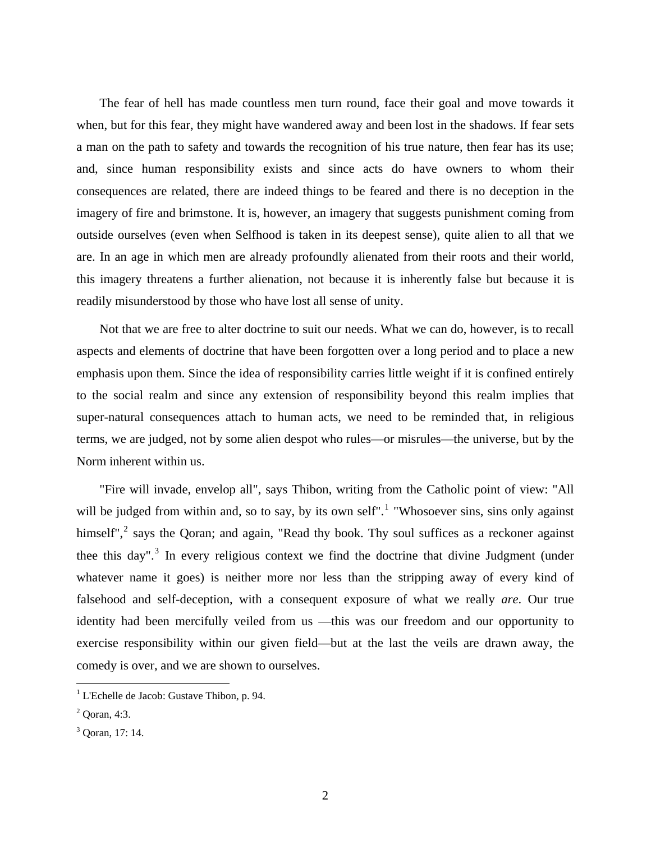The fear of hell has made countless men turn round, face their goal and move towards it when, but for this fear, they might have wandered away and been lost in the shadows. If fear sets a man on the path to safety and towards the recognition of his true nature, then fear has its use; and, since human responsibility exists and since acts do have owners to whom their consequences are related, there are indeed things to be feared and there is no deception in the imagery of fire and brimstone. It is, however, an imagery that suggests punishment coming from outside ourselves (even when Selfhood is taken in its deepest sense), quite alien to all that we are. In an age in which men are already profoundly alienated from their roots and their world, this imagery threatens a further alienation, not because it is inherently false but because it is readily misunderstood by those who have lost all sense of unity.

Not that we are free to alter doctrine to suit our needs. What we can do, however, is to recall aspects and elements of doctrine that have been forgotten over a long period and to place a new emphasis upon them. Since the idea of responsibility carries little weight if it is confined entirely to the social realm and since any extension of responsibility beyond this realm implies that super-natural consequences attach to human acts, we need to be reminded that, in religious terms, we are judged, not by some alien despot who rules—or misrules—the universe, but by the Norm inherent within us.

"Fire will invade, envelop all", says Thibon, writing from the Catholic point of view: "All will be judged from within and, so to say, by its own self".<sup>[1](#page-1-0)</sup> "Whosoever sins, sins only against himself",<sup>[2](#page-1-1)</sup> says the Qoran; and again, "Read thy book. Thy soul suffices as a reckoner against thee this day".<sup>[3](#page-1-2)</sup> In every religious context we find the doctrine that divine Judgment (under whatever name it goes) is neither more nor less than the stripping away of every kind of falsehood and self-deception, with a consequent exposure of what we really *are*. Our true identity had been mercifully veiled from us —this was our freedom and our opportunity to exercise responsibility within our given field—but at the last the veils are drawn away, the comedy is over, and we are shown to ourselves.

 $\overline{a}$ 

<span id="page-1-0"></span><sup>&</sup>lt;sup>1</sup> L'Echelle de Jacob: Gustave Thibon, p. 94.

<span id="page-1-1"></span> $<sup>2</sup>$  Qoran, 4:3.</sup>

<span id="page-1-2"></span> $3$  Qoran, 17: 14.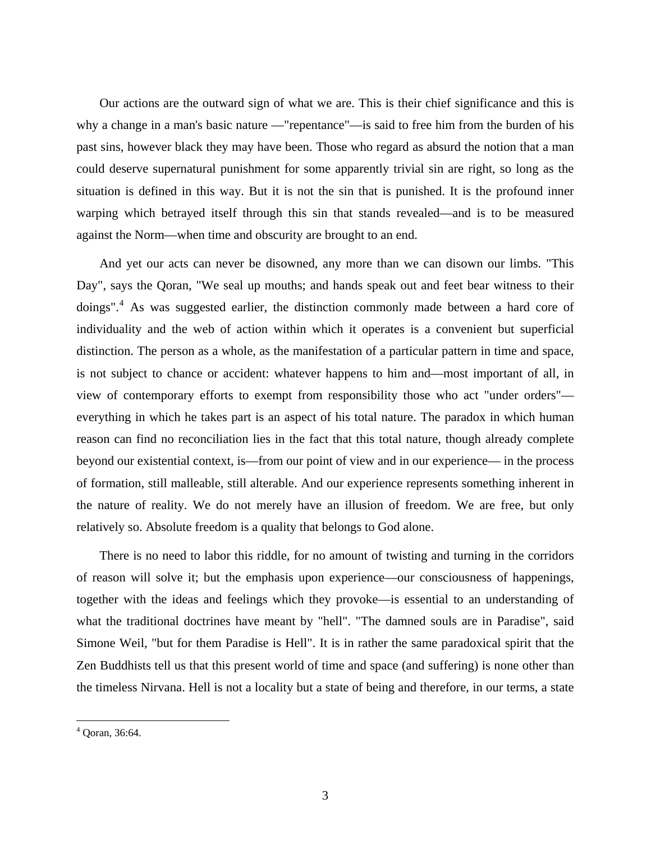Our actions are the outward sign of what we are. This is their chief significance and this is why a change in a man's basic nature —"repentance"—is said to free him from the burden of his past sins, however black they may have been. Those who regard as absurd the notion that a man could deserve supernatural punishment for some apparently trivial sin are right, so long as the situation is defined in this way. But it is not the sin that is punished. It is the profound inner warping which betrayed itself through this sin that stands revealed—and is to be measured against the Norm—when time and obscurity are brought to an end.

And yet our acts can never be disowned, any more than we can disown our limbs. "This Day", says the Qoran, "We seal up mouths; and hands speak out and feet bear witness to their doings".<sup>[4](#page-2-0)</sup> As was suggested earlier, the distinction commonly made between a hard core of individuality and the web of action within which it operates is a convenient but superficial distinction. The person as a whole, as the manifestation of a particular pattern in time and space, is not subject to chance or accident: whatever happens to him and—most important of all, in view of contemporary efforts to exempt from responsibility those who act "under orders" everything in which he takes part is an aspect of his total nature. The paradox in which human reason can find no reconciliation lies in the fact that this total nature, though already complete beyond our existential context, is—from our point of view and in our experience— in the process of formation, still malleable, still alterable. And our experience represents something inherent in the nature of reality. We do not merely have an illusion of freedom. We are free, but only relatively so. Absolute freedom is a quality that belongs to God alone.

There is no need to labor this riddle, for no amount of twisting and turning in the corridors of reason will solve it; but the emphasis upon experience—our consciousness of happenings, together with the ideas and feelings which they provoke—is essential to an understanding of what the traditional doctrines have meant by "hell". "The damned souls are in Paradise", said Simone Weil, "but for them Paradise is Hell". It is in rather the same paradoxical spirit that the Zen Buddhists tell us that this present world of time and space (and suffering) is none other than the timeless Nirvana. Hell is not a locality but a state of being and therefore, in our terms, a state

 $\overline{a}$ 

<span id="page-2-0"></span><sup>4</sup> Qoran, 36:64.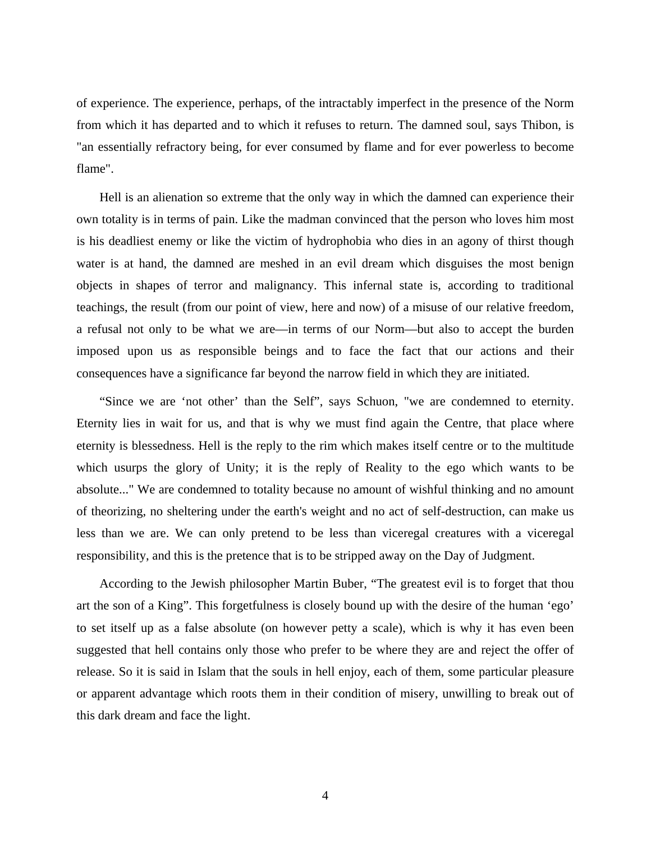of experience. The experience, perhaps, of the intractably imperfect in the presence of the Norm from which it has departed and to which it refuses to return. The damned soul, says Thibon, is "an essentially refractory being, for ever consumed by flame and for ever powerless to become flame".

Hell is an alienation so extreme that the only way in which the damned can experience their own totality is in terms of pain. Like the madman convinced that the person who loves him most is his deadliest enemy or like the victim of hydrophobia who dies in an agony of thirst though water is at hand, the damned are meshed in an evil dream which disguises the most benign objects in shapes of terror and malignancy. This infernal state is, according to traditional teachings, the result (from our point of view, here and now) of a misuse of our relative freedom, a refusal not only to be what we are—in terms of our Norm—but also to accept the burden imposed upon us as responsible beings and to face the fact that our actions and their consequences have a significance far beyond the narrow field in which they are initiated.

"Since we are 'not other' than the Self", says Schuon, "we are condemned to eternity. Eternity lies in wait for us, and that is why we must find again the Centre, that place where eternity is blessedness. Hell is the reply to the rim which makes itself centre or to the multitude which usurps the glory of Unity; it is the reply of Reality to the ego which wants to be absolute..." We are condemned to totality because no amount of wishful thinking and no amount of theorizing, no sheltering under the earth's weight and no act of self-destruction, can make us less than we are. We can only pretend to be less than viceregal creatures with a viceregal responsibility, and this is the pretence that is to be stripped away on the Day of Judgment.

According to the Jewish philosopher Martin Buber, "The greatest evil is to forget that thou art the son of a King". This forgetfulness is closely bound up with the desire of the human 'ego' to set itself up as a false absolute (on however petty a scale), which is why it has even been suggested that hell contains only those who prefer to be where they are and reject the offer of release. So it is said in Islam that the souls in hell enjoy, each of them, some particular pleasure or apparent advantage which roots them in their condition of misery, unwilling to break out of this dark dream and face the light.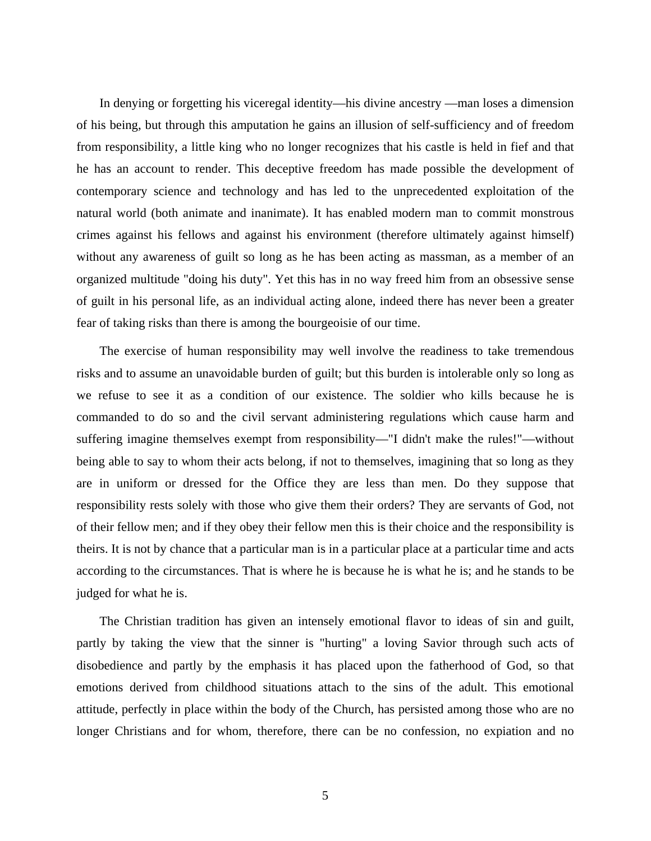In denying or forgetting his viceregal identity—his divine ancestry —man loses a dimension of his being, but through this amputation he gains an illusion of self-sufficiency and of freedom from responsibility, a little king who no longer recognizes that his castle is held in fief and that he has an account to render. This deceptive freedom has made possible the development of contemporary science and technology and has led to the unprecedented exploitation of the natural world (both animate and inanimate). It has enabled modern man to commit monstrous crimes against his fellows and against his environment (therefore ultimately against himself) without any awareness of guilt so long as he has been acting as massman, as a member of an organized multitude "doing his duty". Yet this has in no way freed him from an obsessive sense of guilt in his personal life, as an individual acting alone, indeed there has never been a greater fear of taking risks than there is among the bourgeoisie of our time.

The exercise of human responsibility may well involve the readiness to take tremendous risks and to assume an unavoidable burden of guilt; but this burden is intolerable only so long as we refuse to see it as a condition of our existence. The soldier who kills because he is commanded to do so and the civil servant administering regulations which cause harm and suffering imagine themselves exempt from responsibility—"I didn't make the rules!"—without being able to say to whom their acts belong, if not to themselves, imagining that so long as they are in uniform or dressed for the Office they are less than men. Do they suppose that responsibility rests solely with those who give them their orders? They are servants of God, not of their fellow men; and if they obey their fellow men this is their choice and the responsibility is theirs. It is not by chance that a particular man is in a particular place at a particular time and acts according to the circumstances. That is where he is because he is what he is; and he stands to be judged for what he is.

The Christian tradition has given an intensely emotional flavor to ideas of sin and guilt, partly by taking the view that the sinner is "hurting" a loving Savior through such acts of disobedience and partly by the emphasis it has placed upon the fatherhood of God, so that emotions derived from childhood situations attach to the sins of the adult. This emotional attitude, perfectly in place within the body of the Church, has persisted among those who are no longer Christians and for whom, therefore, there can be no confession, no expiation and no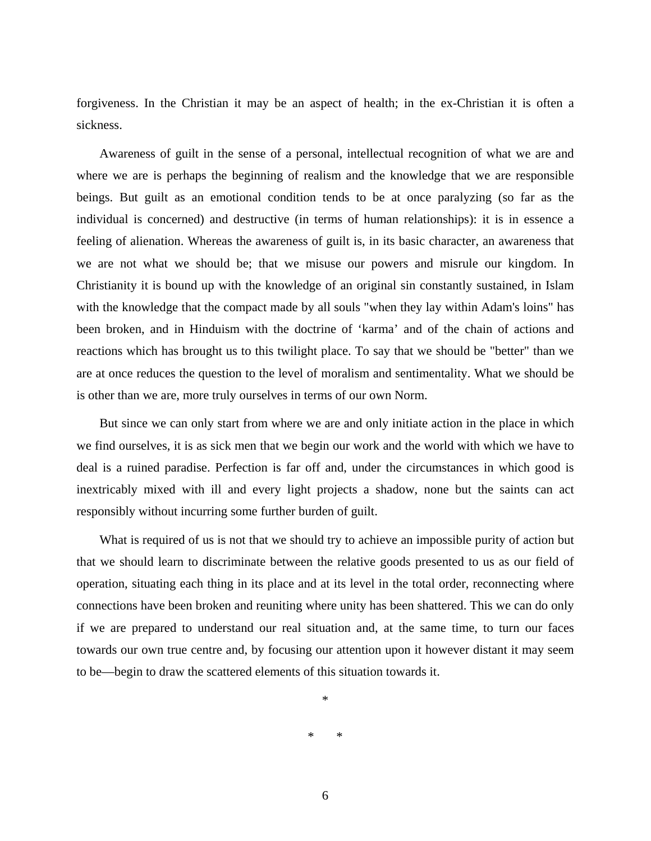forgiveness. In the Christian it may be an aspect of health; in the ex-Christian it is often a sickness.

Awareness of guilt in the sense of a personal, intellectual recognition of what we are and where we are is perhaps the beginning of realism and the knowledge that we are responsible beings. But guilt as an emotional condition tends to be at once paralyzing (so far as the individual is concerned) and destructive (in terms of human relationships): it is in essence a feeling of alienation. Whereas the awareness of guilt is, in its basic character, an awareness that we are not what we should be; that we misuse our powers and misrule our kingdom. In Christianity it is bound up with the knowledge of an original sin constantly sustained, in Islam with the knowledge that the compact made by all souls "when they lay within Adam's loins" has been broken, and in Hinduism with the doctrine of 'karma' and of the chain of actions and reactions which has brought us to this twilight place. To say that we should be "better" than we are at once reduces the question to the level of moralism and sentimentality. What we should be is other than we are, more truly ourselves in terms of our own Norm.

But since we can only start from where we are and only initiate action in the place in which we find ourselves, it is as sick men that we begin our work and the world with which we have to deal is a ruined paradise. Perfection is far off and, under the circumstances in which good is inextricably mixed with ill and every light projects a shadow, none but the saints can act responsibly without incurring some further burden of guilt.

What is required of us is not that we should try to achieve an impossible purity of action but that we should learn to discriminate between the relative goods presented to us as our field of operation, situating each thing in its place and at its level in the total order, reconnecting where connections have been broken and reuniting where unity has been shattered. This we can do only if we are prepared to understand our real situation and, at the same time, to turn our faces towards our own true centre and, by focusing our attention upon it however distant it may seem to be—begin to draw the scattered elements of this situation towards it.

\*

\* \*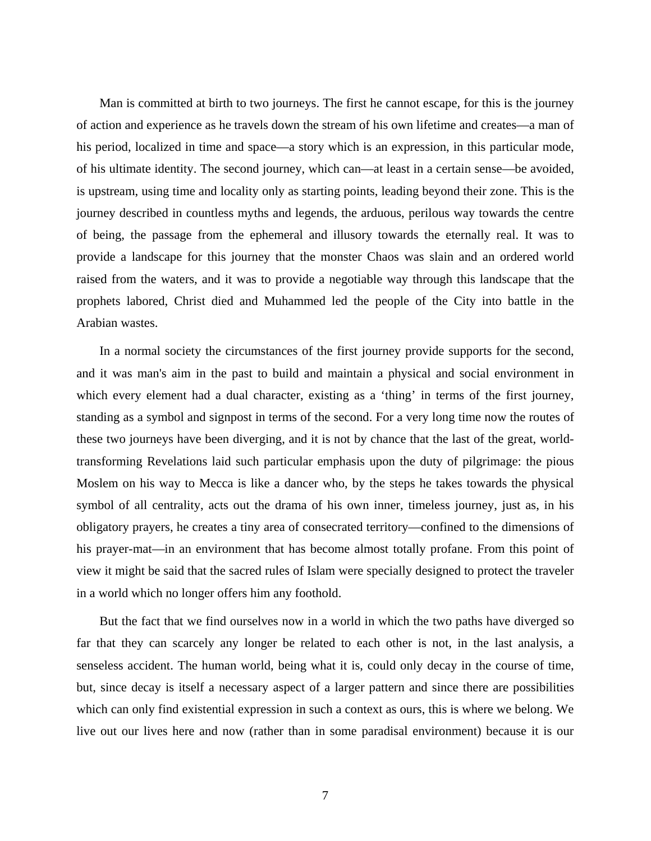Man is committed at birth to two journeys. The first he cannot escape, for this is the journey of action and experience as he travels down the stream of his own lifetime and creates—a man of his period, localized in time and space—a story which is an expression, in this particular mode, of his ultimate identity. The second journey, which can—at least in a certain sense—be avoided, is upstream, using time and locality only as starting points, leading beyond their zone. This is the journey described in countless myths and legends, the arduous, perilous way towards the centre of being, the passage from the ephemeral and illusory towards the eternally real. It was to provide a landscape for this journey that the monster Chaos was slain and an ordered world raised from the waters, and it was to provide a negotiable way through this landscape that the prophets labored, Christ died and Muhammed led the people of the City into battle in the Arabian wastes.

In a normal society the circumstances of the first journey provide supports for the second, and it was man's aim in the past to build and maintain a physical and social environment in which every element had a dual character, existing as a 'thing' in terms of the first journey, standing as a symbol and signpost in terms of the second. For a very long time now the routes of these two journeys have been diverging, and it is not by chance that the last of the great, worldtransforming Revelations laid such particular emphasis upon the duty of pilgrimage: the pious Moslem on his way to Mecca is like a dancer who, by the steps he takes towards the physical symbol of all centrality, acts out the drama of his own inner, timeless journey, just as, in his obligatory prayers, he creates a tiny area of consecrated territory—confined to the dimensions of his prayer-mat—in an environment that has become almost totally profane. From this point of view it might be said that the sacred rules of Islam were specially designed to protect the traveler in a world which no longer offers him any foothold.

But the fact that we find ourselves now in a world in which the two paths have diverged so far that they can scarcely any longer be related to each other is not, in the last analysis, a senseless accident. The human world, being what it is, could only decay in the course of time, but, since decay is itself a necessary aspect of a larger pattern and since there are possibilities which can only find existential expression in such a context as ours, this is where we belong. We live out our lives here and now (rather than in some paradisal environment) because it is our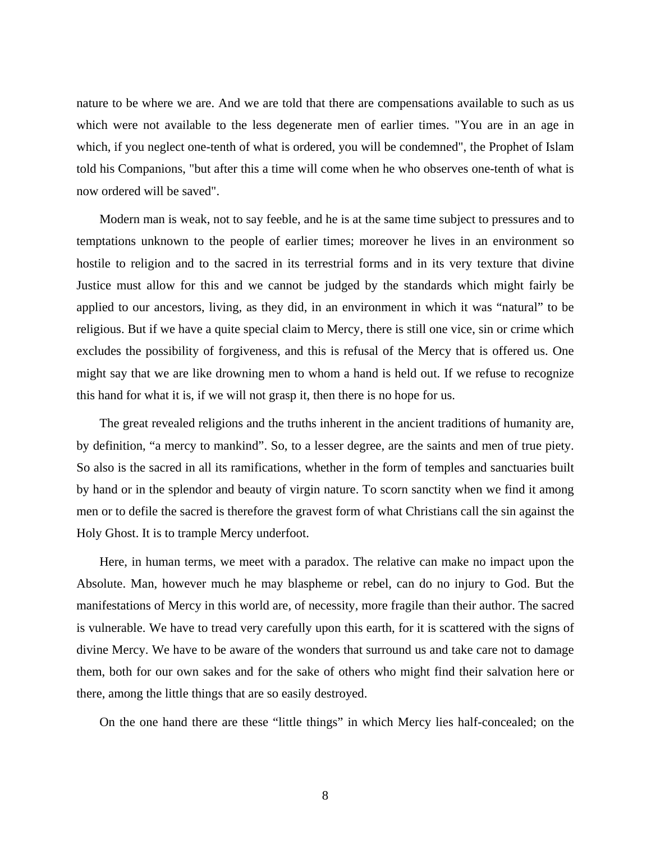nature to be where we are. And we are told that there are compensations available to such as us which were not available to the less degenerate men of earlier times. "You are in an age in which, if you neglect one-tenth of what is ordered, you will be condemned", the Prophet of Islam told his Companions, "but after this a time will come when he who observes one-tenth of what is now ordered will be saved".

Modern man is weak, not to say feeble, and he is at the same time subject to pressures and to temptations unknown to the people of earlier times; moreover he lives in an environment so hostile to religion and to the sacred in its terrestrial forms and in its very texture that divine Justice must allow for this and we cannot be judged by the standards which might fairly be applied to our ancestors, living, as they did, in an environment in which it was "natural" to be religious. But if we have a quite special claim to Mercy, there is still one vice, sin or crime which excludes the possibility of forgiveness, and this is refusal of the Mercy that is offered us. One might say that we are like drowning men to whom a hand is held out. If we refuse to recognize this hand for what it is, if we will not grasp it, then there is no hope for us.

The great revealed religions and the truths inherent in the ancient traditions of humanity are, by definition, "a mercy to mankind". So, to a lesser degree, are the saints and men of true piety. So also is the sacred in all its ramifications, whether in the form of temples and sanctuaries built by hand or in the splendor and beauty of virgin nature. To scorn sanctity when we find it among men or to defile the sacred is therefore the gravest form of what Christians call the sin against the Holy Ghost. It is to trample Mercy underfoot.

Here, in human terms, we meet with a paradox. The relative can make no impact upon the Absolute. Man, however much he may blaspheme or rebel, can do no injury to God. But the manifestations of Mercy in this world are, of necessity, more fragile than their author. The sacred is vulnerable. We have to tread very carefully upon this earth, for it is scattered with the signs of divine Mercy. We have to be aware of the wonders that surround us and take care not to damage them, both for our own sakes and for the sake of others who might find their salvation here or there, among the little things that are so easily destroyed.

On the one hand there are these "little things" in which Mercy lies half-concealed; on the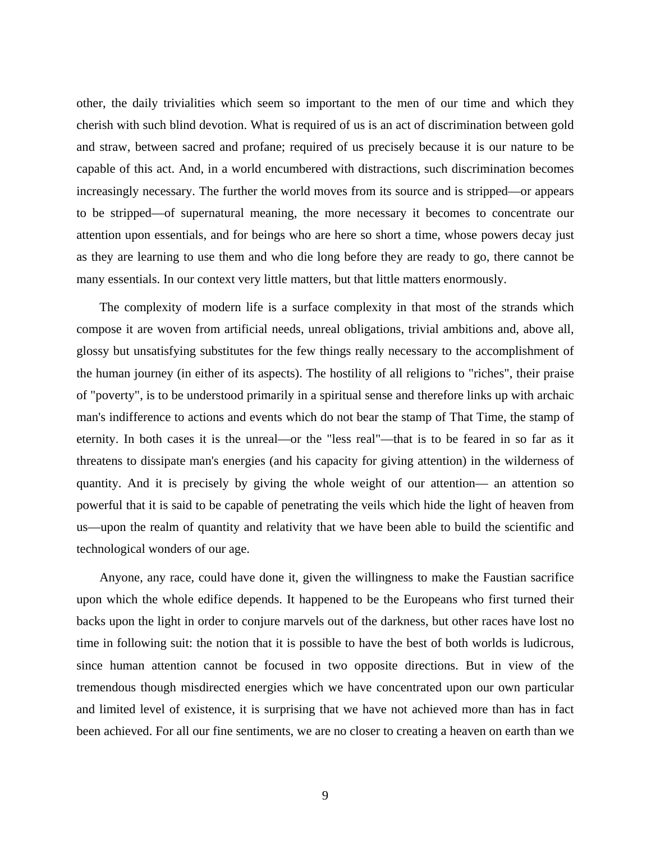other, the daily trivialities which seem so important to the men of our time and which they cherish with such blind devotion. What is required of us is an act of discrimination between gold and straw, between sacred and profane; required of us precisely because it is our nature to be capable of this act. And, in a world encumbered with distractions, such discrimination becomes increasingly necessary. The further the world moves from its source and is stripped—or appears to be stripped—of supernatural meaning, the more necessary it becomes to concentrate our attention upon essentials, and for beings who are here so short a time, whose powers decay just as they are learning to use them and who die long before they are ready to go, there cannot be many essentials. In our context very little matters, but that little matters enormously.

The complexity of modern life is a surface complexity in that most of the strands which compose it are woven from artificial needs, unreal obligations, trivial ambitions and, above all, glossy but unsatisfying substitutes for the few things really necessary to the accomplishment of the human journey (in either of its aspects). The hostility of all religions to "riches", their praise of "poverty", is to be understood primarily in a spiritual sense and therefore links up with archaic man's indifference to actions and events which do not bear the stamp of That Time, the stamp of eternity. In both cases it is the unreal—or the "less real"—that is to be feared in so far as it threatens to dissipate man's energies (and his capacity for giving attention) in the wilderness of quantity. And it is precisely by giving the whole weight of our attention— an attention so powerful that it is said to be capable of penetrating the veils which hide the light of heaven from us—upon the realm of quantity and relativity that we have been able to build the scientific and technological wonders of our age.

Anyone, any race, could have done it, given the willingness to make the Faustian sacrifice upon which the whole edifice depends. It happened to be the Europeans who first turned their backs upon the light in order to conjure marvels out of the darkness, but other races have lost no time in following suit: the notion that it is possible to have the best of both worlds is ludicrous, since human attention cannot be focused in two opposite directions. But in view of the tremendous though misdirected energies which we have concentrated upon our own particular and limited level of existence, it is surprising that we have not achieved more than has in fact been achieved. For all our fine sentiments, we are no closer to creating a heaven on earth than we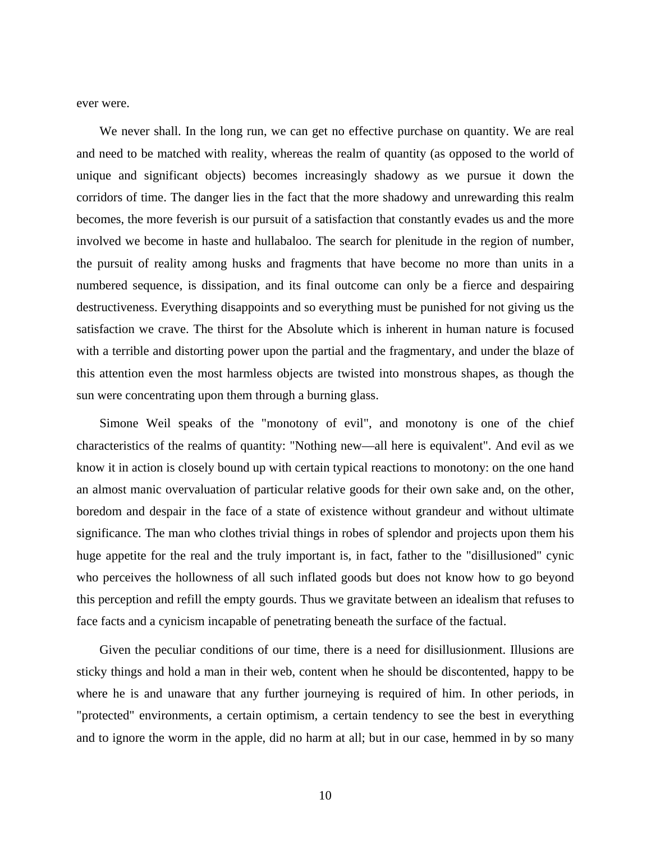ever were.

We never shall. In the long run, we can get no effective purchase on quantity. We are real and need to be matched with reality, whereas the realm of quantity (as opposed to the world of unique and significant objects) becomes increasingly shadowy as we pursue it down the corridors of time. The danger lies in the fact that the more shadowy and unrewarding this realm becomes, the more feverish is our pursuit of a satisfaction that constantly evades us and the more involved we become in haste and hullabaloo. The search for plenitude in the region of number, the pursuit of reality among husks and fragments that have become no more than units in a numbered sequence, is dissipation, and its final outcome can only be a fierce and despairing destructiveness. Everything disappoints and so everything must be punished for not giving us the satisfaction we crave. The thirst for the Absolute which is inherent in human nature is focused with a terrible and distorting power upon the partial and the fragmentary, and under the blaze of this attention even the most harmless objects are twisted into monstrous shapes, as though the sun were concentrating upon them through a burning glass.

Simone Weil speaks of the "monotony of evil", and monotony is one of the chief characteristics of the realms of quantity: "Nothing new—all here is equivalent". And evil as we know it in action is closely bound up with certain typical reactions to monotony: on the one hand an almost manic overvaluation of particular relative goods for their own sake and, on the other, boredom and despair in the face of a state of existence without grandeur and without ultimate significance. The man who clothes trivial things in robes of splendor and projects upon them his huge appetite for the real and the truly important is, in fact, father to the "disillusioned" cynic who perceives the hollowness of all such inflated goods but does not know how to go beyond this perception and refill the empty gourds. Thus we gravitate between an idealism that refuses to face facts and a cynicism incapable of penetrating beneath the surface of the factual.

Given the peculiar conditions of our time, there is a need for disillusionment. Illusions are sticky things and hold a man in their web, content when he should be discontented, happy to be where he is and unaware that any further journeying is required of him. In other periods, in "protected" environments, a certain optimism, a certain tendency to see the best in everything and to ignore the worm in the apple, did no harm at all; but in our case, hemmed in by so many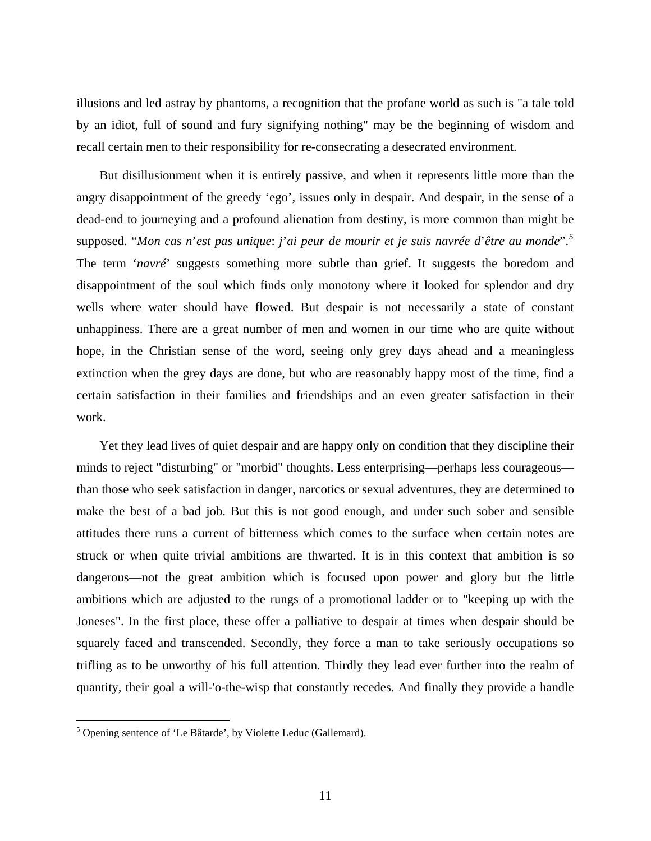illusions and led astray by phantoms, a recognition that the profane world as such is "a tale told by an idiot, full of sound and fury signifying nothing" may be the beginning of wisdom and recall certain men to their responsibility for re-consecrating a desecrated environment.

But disillusionment when it is entirely passive, and when it represents little more than the angry disappointment of the greedy 'ego', issues only in despair. And despair, in the sense of a dead-end to journeying and a profound alienation from destiny, is more common than might be supposed. "*Mon cas n*'*est pas unique*: *j*'*ai peur de mourir et je suis navrée d*'*être au monde*".*[5](#page-10-0)* The term '*navré*' suggests something more subtle than grief. It suggests the boredom and disappointment of the soul which finds only monotony where it looked for splendor and dry wells where water should have flowed. But despair is not necessarily a state of constant unhappiness. There are a great number of men and women in our time who are quite without hope, in the Christian sense of the word, seeing only grey days ahead and a meaningless extinction when the grey days are done, but who are reasonably happy most of the time, find a certain satisfaction in their families and friendships and an even greater satisfaction in their work.

Yet they lead lives of quiet despair and are happy only on condition that they discipline their minds to reject "disturbing" or "morbid" thoughts. Less enterprising—perhaps less courageous than those who seek satisfaction in danger, narcotics or sexual adventures, they are determined to make the best of a bad job. But this is not good enough, and under such sober and sensible attitudes there runs a current of bitterness which comes to the surface when certain notes are struck or when quite trivial ambitions are thwarted. It is in this context that ambition is so dangerous—not the great ambition which is focused upon power and glory but the little ambitions which are adjusted to the rungs of a promotional ladder or to "keeping up with the Joneses". In the first place, these offer a palliative to despair at times when despair should be squarely faced and transcended. Secondly, they force a man to take seriously occupations so trifling as to be unworthy of his full attention. Thirdly they lead ever further into the realm of quantity, their goal a will-'o-the-wisp that constantly recedes. And finally they provide a handle

<u>.</u>

<span id="page-10-0"></span><sup>&</sup>lt;sup>5</sup> Opening sentence of 'Le Bâtarde', by Violette Leduc (Gallemard).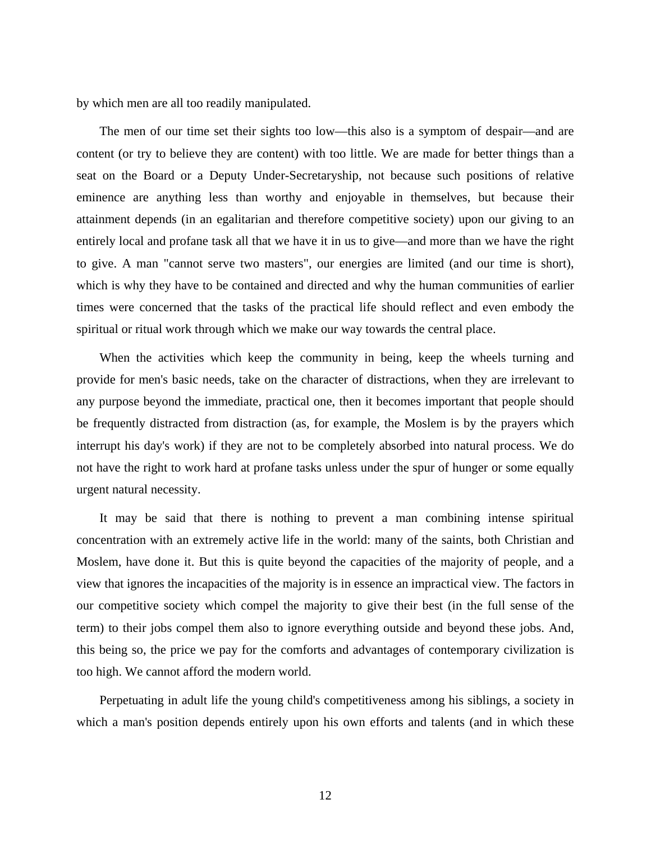by which men are all too readily manipulated.

The men of our time set their sights too low—this also is a symptom of despair—and are content (or try to believe they are content) with too little. We are made for better things than a seat on the Board or a Deputy Under-Secretaryship, not because such positions of relative eminence are anything less than worthy and enjoyable in themselves, but because their attainment depends (in an egalitarian and therefore competitive society) upon our giving to an entirely local and profane task all that we have it in us to give—and more than we have the right to give. A man "cannot serve two masters", our energies are limited (and our time is short), which is why they have to be contained and directed and why the human communities of earlier times were concerned that the tasks of the practical life should reflect and even embody the spiritual or ritual work through which we make our way towards the central place.

When the activities which keep the community in being, keep the wheels turning and provide for men's basic needs, take on the character of distractions, when they are irrelevant to any purpose beyond the immediate, practical one, then it becomes important that people should be frequently distracted from distraction (as, for example, the Moslem is by the prayers which interrupt his day's work) if they are not to be completely absorbed into natural process. We do not have the right to work hard at profane tasks unless under the spur of hunger or some equally urgent natural necessity.

It may be said that there is nothing to prevent a man combining intense spiritual concentration with an extremely active life in the world: many of the saints, both Christian and Moslem, have done it. But this is quite beyond the capacities of the majority of people, and a view that ignores the incapacities of the majority is in essence an impractical view. The factors in our competitive society which compel the majority to give their best (in the full sense of the term) to their jobs compel them also to ignore everything outside and beyond these jobs. And, this being so, the price we pay for the comforts and advantages of contemporary civilization is too high. We cannot afford the modern world.

Perpetuating in adult life the young child's competitiveness among his siblings, a society in which a man's position depends entirely upon his own efforts and talents (and in which these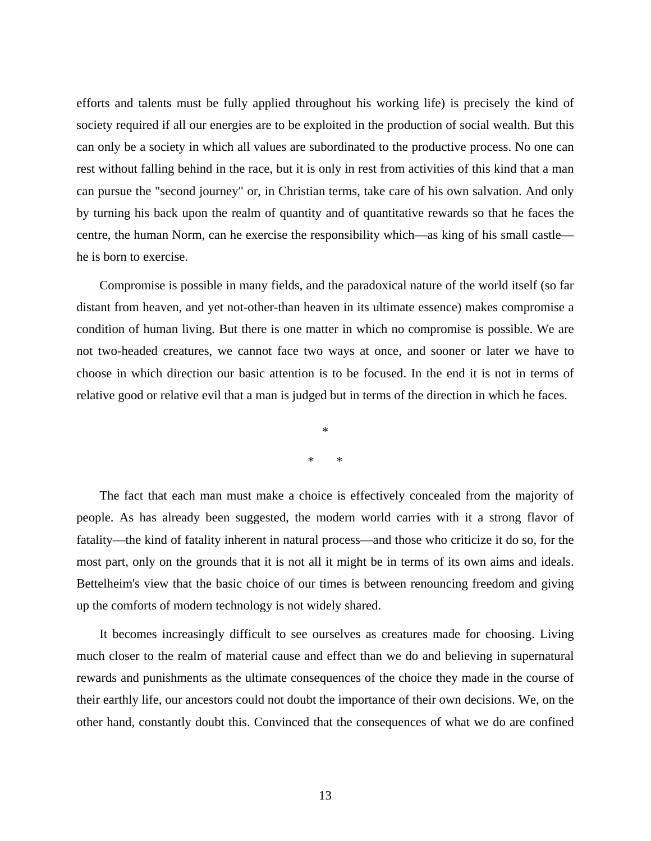efforts and talents must be fully applied throughout his working life) is precisely the kind of society required if all our energies are to be exploited in the production of social wealth. But this can only be a society in which all values are subordinated to the productive process. No one can rest without falling behind in the race, but it is only in rest from activities of this kind that a man can pursue the "second journey" or, in Christian terms, take care of his own salvation. And only by turning his back upon the realm of quantity and of quantitative rewards so that he faces the centre, the human Norm, can he exercise the responsibility which—as king of his small castle he is born to exercise.

Compromise is possible in many fields, and the paradoxical nature of the world itself (so far distant from heaven, and yet not-other-than heaven in its ultimate essence) makes compromise a condition of human living. But there is one matter in which no compromise is possible. We are not two-headed creatures, we cannot face two ways at once, and sooner or later we have to choose in which direction our basic attention is to be focused. In the end it is not in terms of relative good or relative evil that a man is judged but in terms of the direction in which he faces.

\*

 $\ast$ 

The fact that each man must make a choice is effectively concealed from the majority of people. As has already been suggested, the modern world carries with it a strong flavor of fatality—the kind of fatality inherent in natural process—and those who criticize it do so, for the most part, only on the grounds that it is not all it might be in terms of its own aims and ideals. Bettelheim's view that the basic choice of our times is between renouncing freedom and giving up the comforts of modern technology is not widely shared.

It becomes increasingly difficult to see ourselves as creatures made for choosing. Living much closer to the realm of material cause and effect than we do and believing in supernatural rewards and punishments as the ultimate consequences of the choice they made in the course of their earthly life, our ancestors could not doubt the importance of their own decisions. We, on the other hand, constantly doubt this. Convinced that the consequences of what we do are confined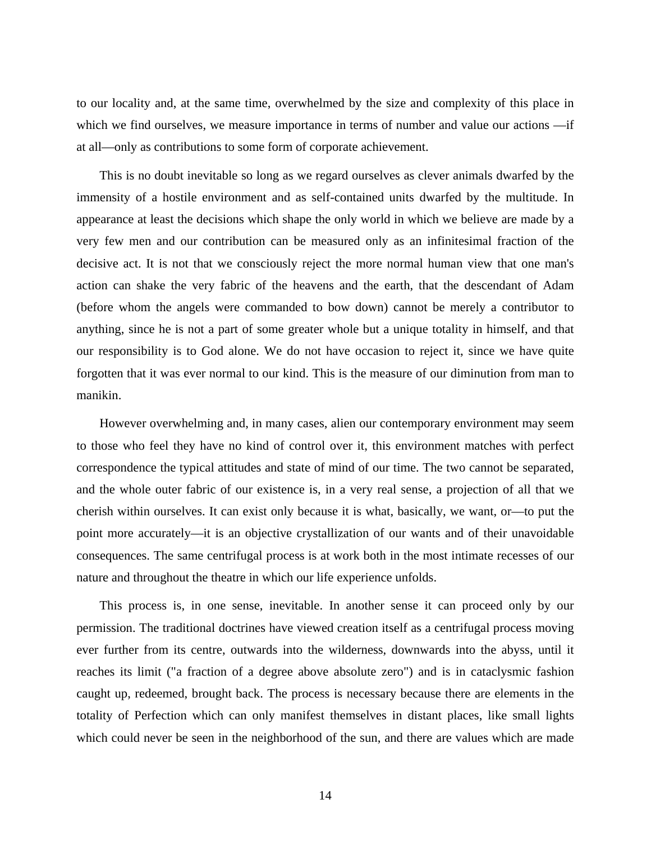to our locality and, at the same time, overwhelmed by the size and complexity of this place in which we find ourselves, we measure importance in terms of number and value our actions —if at all—only as contributions to some form of corporate achievement.

This is no doubt inevitable so long as we regard ourselves as clever animals dwarfed by the immensity of a hostile environment and as self-contained units dwarfed by the multitude. In appearance at least the decisions which shape the only world in which we believe are made by a very few men and our contribution can be measured only as an infinitesimal fraction of the decisive act. It is not that we consciously reject the more normal human view that one man's action can shake the very fabric of the heavens and the earth, that the descendant of Adam (before whom the angels were commanded to bow down) cannot be merely a contributor to anything, since he is not a part of some greater whole but a unique totality in himself, and that our responsibility is to God alone. We do not have occasion to reject it, since we have quite forgotten that it was ever normal to our kind. This is the measure of our diminution from man to manikin.

However overwhelming and, in many cases, alien our contemporary environment may seem to those who feel they have no kind of control over it, this environment matches with perfect correspondence the typical attitudes and state of mind of our time. The two cannot be separated, and the whole outer fabric of our existence is, in a very real sense, a projection of all that we cherish within ourselves. It can exist only because it is what, basically, we want, or—to put the point more accurately—it is an objective crystallization of our wants and of their unavoidable consequences. The same centrifugal process is at work both in the most intimate recesses of our nature and throughout the theatre in which our life experience unfolds.

This process is, in one sense, inevitable. In another sense it can proceed only by our permission. The traditional doctrines have viewed creation itself as a centrifugal process moving ever further from its centre, outwards into the wilderness, downwards into the abyss, until it reaches its limit ("a fraction of a degree above absolute zero") and is in cataclysmic fashion caught up, redeemed, brought back. The process is necessary because there are elements in the totality of Perfection which can only manifest themselves in distant places, like small lights which could never be seen in the neighborhood of the sun, and there are values which are made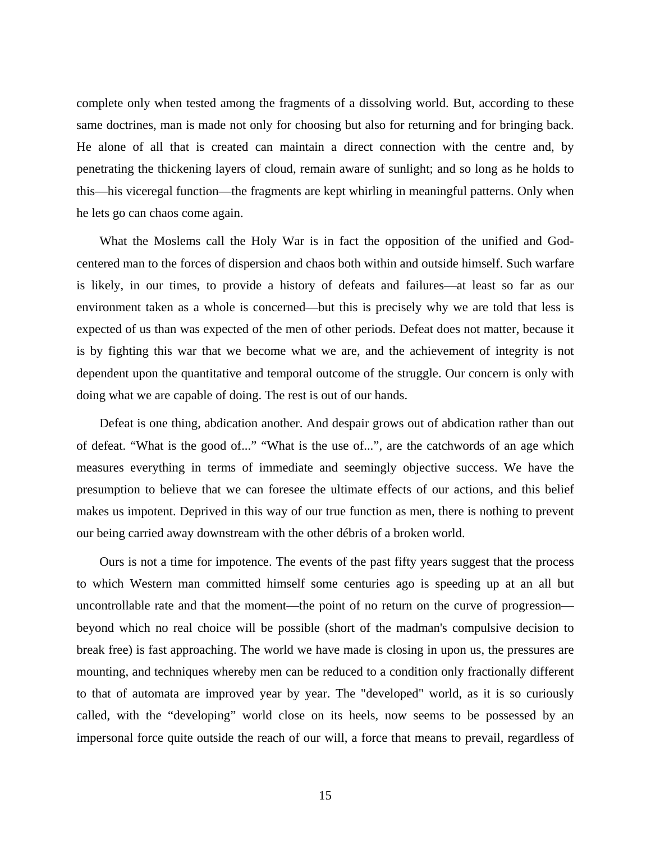complete only when tested among the fragments of a dissolving world. But, according to these same doctrines, man is made not only for choosing but also for returning and for bringing back. He alone of all that is created can maintain a direct connection with the centre and, by penetrating the thickening layers of cloud, remain aware of sunlight; and so long as he holds to this—his viceregal function—the fragments are kept whirling in meaningful patterns. Only when he lets go can chaos come again.

What the Moslems call the Holy War is in fact the opposition of the unified and Godcentered man to the forces of dispersion and chaos both within and outside himself. Such warfare is likely, in our times, to provide a history of defeats and failures—at least so far as our environment taken as a whole is concerned—but this is precisely why we are told that less is expected of us than was expected of the men of other periods. Defeat does not matter, because it is by fighting this war that we become what we are, and the achievement of integrity is not dependent upon the quantitative and temporal outcome of the struggle. Our concern is only with doing what we are capable of doing. The rest is out of our hands.

Defeat is one thing, abdication another. And despair grows out of abdication rather than out of defeat. "What is the good of..." "What is the use of...", are the catchwords of an age which measures everything in terms of immediate and seemingly objective success. We have the presumption to believe that we can foresee the ultimate effects of our actions, and this belief makes us impotent. Deprived in this way of our true function as men, there is nothing to prevent our being carried away downstream with the other débris of a broken world.

Ours is not a time for impotence. The events of the past fifty years suggest that the process to which Western man committed himself some centuries ago is speeding up at an all but uncontrollable rate and that the moment—the point of no return on the curve of progression beyond which no real choice will be possible (short of the madman's compulsive decision to break free) is fast approaching. The world we have made is closing in upon us, the pressures are mounting, and techniques whereby men can be reduced to a condition only fractionally different to that of automata are improved year by year. The "developed" world, as it is so curiously called, with the "developing" world close on its heels, now seems to be possessed by an impersonal force quite outside the reach of our will, a force that means to prevail, regardless of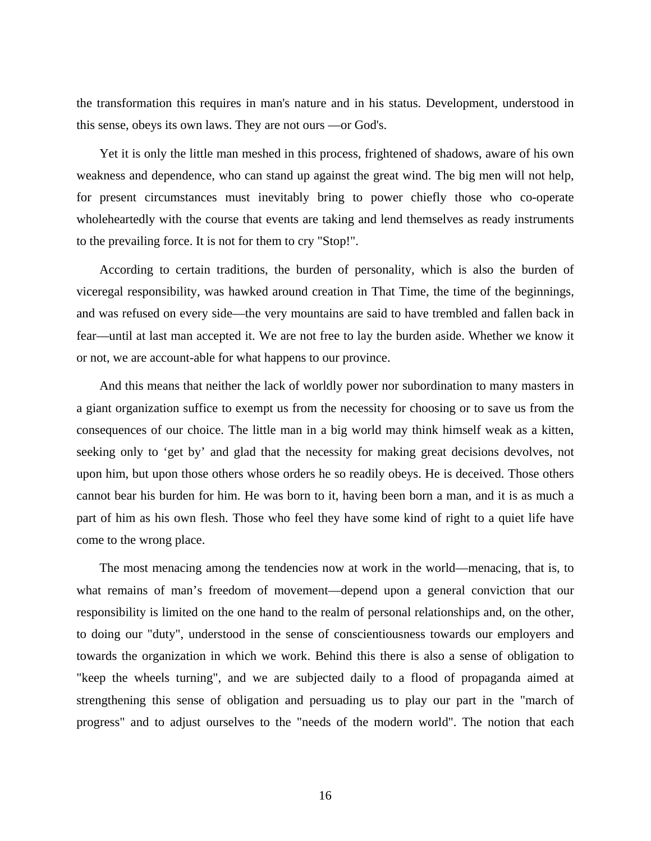the transformation this requires in man's nature and in his status. Development, understood in this sense, obeys its own laws. They are not ours —or God's.

Yet it is only the little man meshed in this process, frightened of shadows, aware of his own weakness and dependence, who can stand up against the great wind. The big men will not help, for present circumstances must inevitably bring to power chiefly those who co-operate wholeheartedly with the course that events are taking and lend themselves as ready instruments to the prevailing force. It is not for them to cry "Stop!".

According to certain traditions, the burden of personality, which is also the burden of viceregal responsibility, was hawked around creation in That Time, the time of the beginnings, and was refused on every side—the very mountains are said to have trembled and fallen back in fear—until at last man accepted it. We are not free to lay the burden aside. Whether we know it or not, we are account-able for what happens to our province.

And this means that neither the lack of worldly power nor subordination to many masters in a giant organization suffice to exempt us from the necessity for choosing or to save us from the consequences of our choice. The little man in a big world may think himself weak as a kitten, seeking only to 'get by' and glad that the necessity for making great decisions devolves, not upon him, but upon those others whose orders he so readily obeys. He is deceived. Those others cannot bear his burden for him. He was born to it, having been born a man, and it is as much a part of him as his own flesh. Those who feel they have some kind of right to a quiet life have come to the wrong place.

The most menacing among the tendencies now at work in the world—menacing, that is, to what remains of man's freedom of movement—depend upon a general conviction that our responsibility is limited on the one hand to the realm of personal relationships and, on the other, to doing our "duty", understood in the sense of conscientiousness towards our employers and towards the organization in which we work. Behind this there is also a sense of obligation to "keep the wheels turning", and we are subjected daily to a flood of propaganda aimed at strengthening this sense of obligation and persuading us to play our part in the "march of progress" and to adjust ourselves to the "needs of the modern world". The notion that each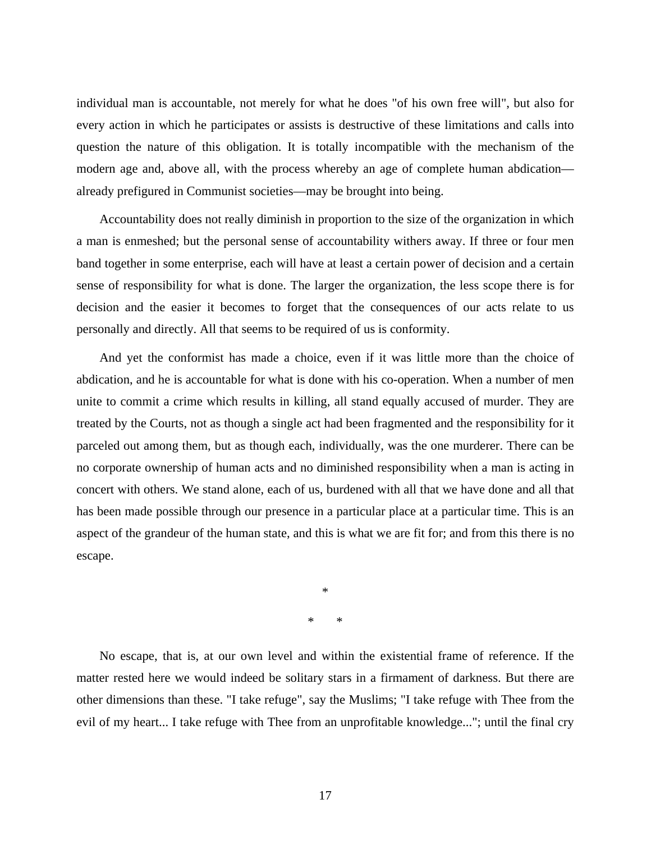individual man is accountable, not merely for what he does "of his own free will", but also for every action in which he participates or assists is destructive of these limitations and calls into question the nature of this obligation. It is totally incompatible with the mechanism of the modern age and, above all, with the process whereby an age of complete human abdication already prefigured in Communist societies—may be brought into being.

Accountability does not really diminish in proportion to the size of the organization in which a man is enmeshed; but the personal sense of accountability withers away. If three or four men band together in some enterprise, each will have at least a certain power of decision and a certain sense of responsibility for what is done. The larger the organization, the less scope there is for decision and the easier it becomes to forget that the consequences of our acts relate to us personally and directly. All that seems to be required of us is conformity.

And yet the conformist has made a choice, even if it was little more than the choice of abdication, and he is accountable for what is done with his co-operation. When a number of men unite to commit a crime which results in killing, all stand equally accused of murder. They are treated by the Courts, not as though a single act had been fragmented and the responsibility for it parceled out among them, but as though each, individually, was the one murderer. There can be no corporate ownership of human acts and no diminished responsibility when a man is acting in concert with others. We stand alone, each of us, burdened with all that we have done and all that has been made possible through our presence in a particular place at a particular time. This is an aspect of the grandeur of the human state, and this is what we are fit for; and from this there is no escape.

> \* \* \*

No escape, that is, at our own level and within the existential frame of reference. If the matter rested here we would indeed be solitary stars in a firmament of darkness. But there are other dimensions than these. "I take refuge", say the Muslims; "I take refuge with Thee from the evil of my heart... I take refuge with Thee from an unprofitable knowledge..."; until the final cry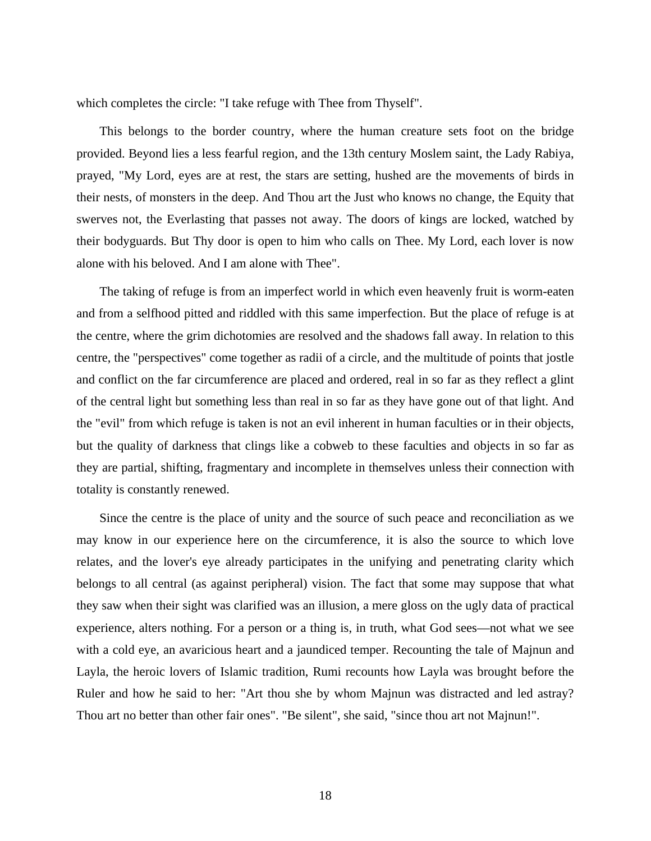which completes the circle: "I take refuge with Thee from Thyself".

This belongs to the border country, where the human creature sets foot on the bridge provided. Beyond lies a less fearful region, and the 13th century Moslem saint, the Lady Rabiya, prayed, "My Lord, eyes are at rest, the stars are setting, hushed are the movements of birds in their nests, of monsters in the deep. And Thou art the Just who knows no change, the Equity that swerves not, the Everlasting that passes not away. The doors of kings are locked, watched by their bodyguards. But Thy door is open to him who calls on Thee. My Lord, each lover is now alone with his beloved. And I am alone with Thee".

The taking of refuge is from an imperfect world in which even heavenly fruit is worm-eaten and from a selfhood pitted and riddled with this same imperfection. But the place of refuge is at the centre, where the grim dichotomies are resolved and the shadows fall away. In relation to this centre, the "perspectives" come together as radii of a circle, and the multitude of points that jostle and conflict on the far circumference are placed and ordered, real in so far as they reflect a glint of the central light but something less than real in so far as they have gone out of that light. And the "evil" from which refuge is taken is not an evil inherent in human faculties or in their objects, but the quality of darkness that clings like a cobweb to these faculties and objects in so far as they are partial, shifting, fragmentary and incomplete in themselves unless their connection with totality is constantly renewed.

Since the centre is the place of unity and the source of such peace and reconciliation as we may know in our experience here on the circumference, it is also the source to which love relates, and the lover's eye already participates in the unifying and penetrating clarity which belongs to all central (as against peripheral) vision. The fact that some may suppose that what they saw when their sight was clarified was an illusion, a mere gloss on the ugly data of practical experience, alters nothing. For a person or a thing is, in truth, what God sees—not what we see with a cold eye, an avaricious heart and a jaundiced temper. Recounting the tale of Majnun and Layla, the heroic lovers of Islamic tradition, Rumi recounts how Layla was brought before the Ruler and how he said to her: "Art thou she by whom Majnun was distracted and led astray? Thou art no better than other fair ones". "Be silent", she said, "since thou art not Majnun!".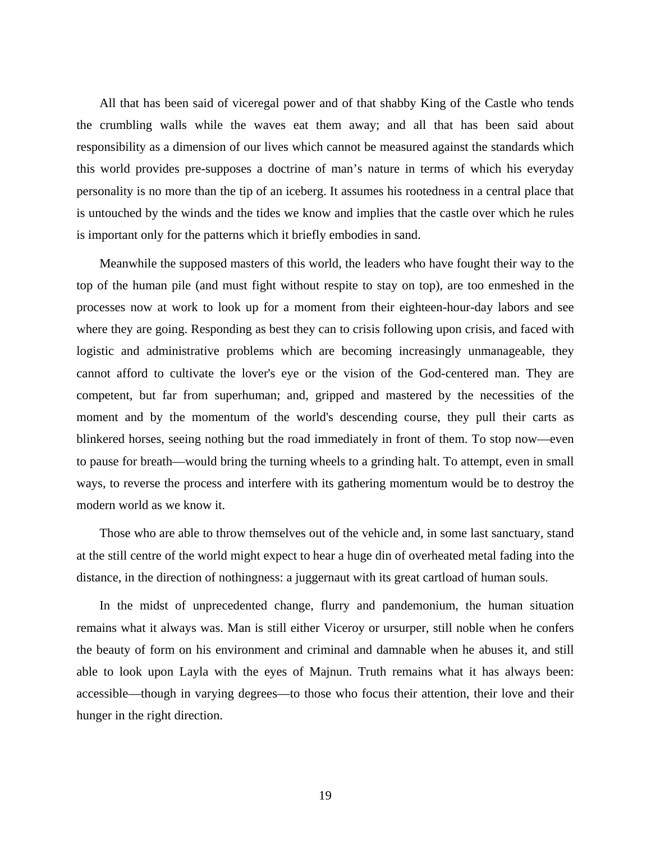All that has been said of viceregal power and of that shabby King of the Castle who tends the crumbling walls while the waves eat them away; and all that has been said about responsibility as a dimension of our lives which cannot be measured against the standards which this world provides pre-supposes a doctrine of man's nature in terms of which his everyday personality is no more than the tip of an iceberg. It assumes his rootedness in a central place that is untouched by the winds and the tides we know and implies that the castle over which he rules is important only for the patterns which it briefly embodies in sand.

Meanwhile the supposed masters of this world, the leaders who have fought their way to the top of the human pile (and must fight without respite to stay on top), are too enmeshed in the processes now at work to look up for a moment from their eighteen-hour-day labors and see where they are going. Responding as best they can to crisis following upon crisis, and faced with logistic and administrative problems which are becoming increasingly unmanageable, they cannot afford to cultivate the lover's eye or the vision of the God-centered man. They are competent, but far from superhuman; and, gripped and mastered by the necessities of the moment and by the momentum of the world's descending course, they pull their carts as blinkered horses, seeing nothing but the road immediately in front of them. To stop now—even to pause for breath—would bring the turning wheels to a grinding halt. To attempt, even in small ways, to reverse the process and interfere with its gathering momentum would be to destroy the modern world as we know it.

Those who are able to throw themselves out of the vehicle and, in some last sanctuary, stand at the still centre of the world might expect to hear a huge din of overheated metal fading into the distance, in the direction of nothingness: a juggernaut with its great cartload of human souls.

In the midst of unprecedented change, flurry and pandemonium, the human situation remains what it always was. Man is still either Viceroy or ursurper, still noble when he confers the beauty of form on his environment and criminal and damnable when he abuses it, and still able to look upon Layla with the eyes of Majnun. Truth remains what it has always been: accessible—though in varying degrees—to those who focus their attention, their love and their hunger in the right direction.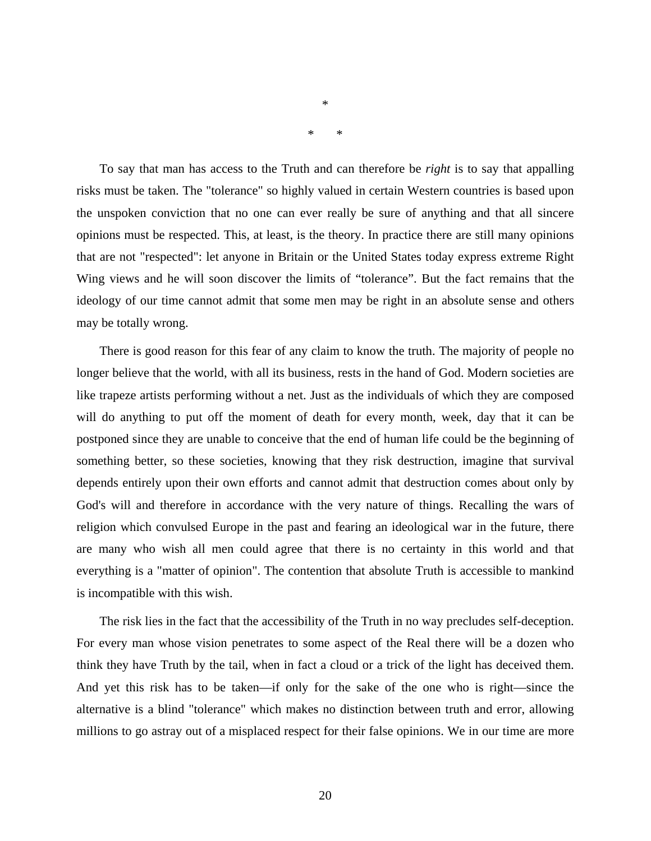To say that man has access to the Truth and can therefore be *right* is to say that appalling risks must be taken. The "tolerance" so highly valued in certain Western countries is based upon the unspoken conviction that no one can ever really be sure of anything and that all sincere opinions must be respected. This, at least, is the theory. In practice there are still many opinions that are not "respected": let anyone in Britain or the United States today express extreme Right Wing views and he will soon discover the limits of "tolerance". But the fact remains that the ideology of our time cannot admit that some men may be right in an absolute sense and others may be totally wrong.

There is good reason for this fear of any claim to know the truth. The majority of people no longer believe that the world, with all its business, rests in the hand of God. Modern societies are like trapeze artists performing without a net. Just as the individuals of which they are composed will do anything to put off the moment of death for every month, week, day that it can be postponed since they are unable to conceive that the end of human life could be the beginning of something better, so these societies, knowing that they risk destruction, imagine that survival depends entirely upon their own efforts and cannot admit that destruction comes about only by God's will and therefore in accordance with the very nature of things. Recalling the wars of religion which convulsed Europe in the past and fearing an ideological war in the future, there are many who wish all men could agree that there is no certainty in this world and that everything is a "matter of opinion". The contention that absolute Truth is accessible to mankind is incompatible with this wish.

The risk lies in the fact that the accessibility of the Truth in no way precludes self-deception. For every man whose vision penetrates to some aspect of the Real there will be a dozen who think they have Truth by the tail, when in fact a cloud or a trick of the light has deceived them. And yet this risk has to be taken—if only for the sake of the one who is right—since the alternative is a blind "tolerance" which makes no distinction between truth and error, allowing millions to go astray out of a misplaced respect for their false opinions. We in our time are more

\*

\* \*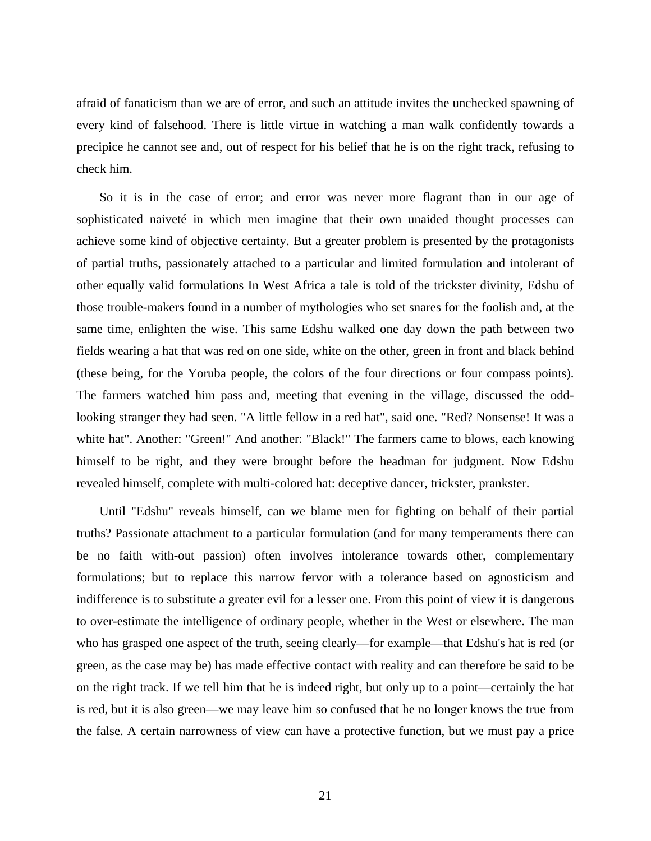afraid of fanaticism than we are of error, and such an attitude invites the unchecked spawning of every kind of falsehood. There is little virtue in watching a man walk confidently towards a precipice he cannot see and, out of respect for his belief that he is on the right track, refusing to check him.

So it is in the case of error; and error was never more flagrant than in our age of sophisticated naiveté in which men imagine that their own unaided thought processes can achieve some kind of objective certainty. But a greater problem is presented by the protagonists of partial truths, passionately attached to a particular and limited formulation and intolerant of other equally valid formulations In West Africa a tale is told of the trickster divinity, Edshu of those trouble-makers found in a number of mythologies who set snares for the foolish and, at the same time, enlighten the wise. This same Edshu walked one day down the path between two fields wearing a hat that was red on one side, white on the other, green in front and black behind (these being, for the Yoruba people, the colors of the four directions or four compass points). The farmers watched him pass and, meeting that evening in the village, discussed the oddlooking stranger they had seen. "A little fellow in a red hat", said one. "Red? Nonsense! It was a white hat". Another: "Green!" And another: "Black!" The farmers came to blows, each knowing himself to be right, and they were brought before the headman for judgment. Now Edshu revealed himself, complete with multi-colored hat: deceptive dancer, trickster, prankster.

Until "Edshu" reveals himself, can we blame men for fighting on behalf of their partial truths? Passionate attachment to a particular formulation (and for many temperaments there can be no faith with-out passion) often involves intolerance towards other, complementary formulations; but to replace this narrow fervor with a tolerance based on agnosticism and indifference is to substitute a greater evil for a lesser one. From this point of view it is dangerous to over-estimate the intelligence of ordinary people, whether in the West or elsewhere. The man who has grasped one aspect of the truth, seeing clearly—for example—that Edshu's hat is red (or green, as the case may be) has made effective contact with reality and can therefore be said to be on the right track. If we tell him that he is indeed right, but only up to a point—certainly the hat is red, but it is also green—we may leave him so confused that he no longer knows the true from the false. A certain narrowness of view can have a protective function, but we must pay a price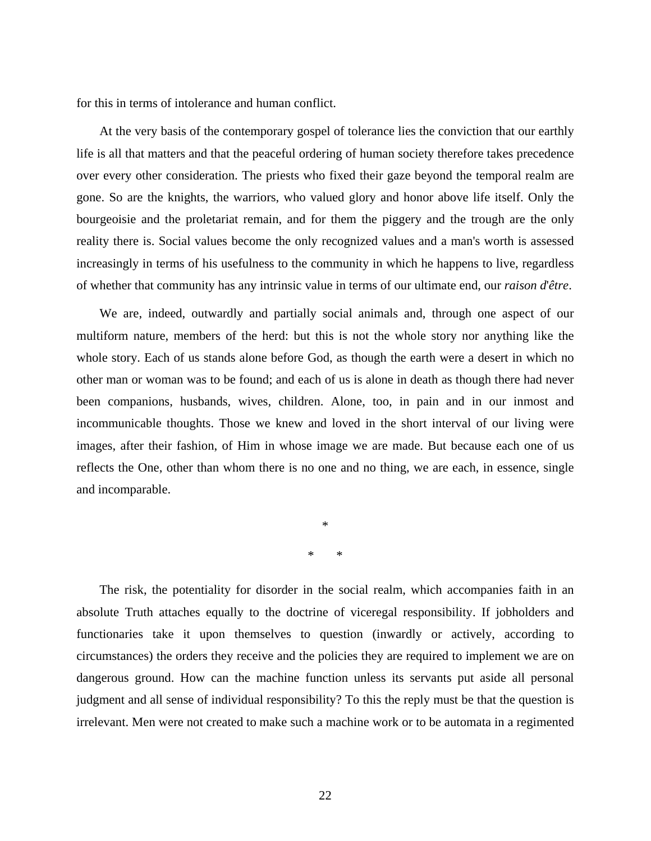for this in terms of intolerance and human conflict.

At the very basis of the contemporary gospel of tolerance lies the conviction that our earthly life is all that matters and that the peaceful ordering of human society therefore takes precedence over every other consideration. The priests who fixed their gaze beyond the temporal realm are gone. So are the knights, the warriors, who valued glory and honor above life itself. Only the bourgeoisie and the proletariat remain, and for them the piggery and the trough are the only reality there is. Social values become the only recognized values and a man's worth is assessed increasingly in terms of his usefulness to the community in which he happens to live, regardless of whether that community has any intrinsic value in terms of our ultimate end, our *raison d*'*être*.

We are, indeed, outwardly and partially social animals and, through one aspect of our multiform nature, members of the herd: but this is not the whole story nor anything like the whole story. Each of us stands alone before God, as though the earth were a desert in which no other man or woman was to be found; and each of us is alone in death as though there had never been companions, husbands, wives, children. Alone, too, in pain and in our inmost and incommunicable thoughts. Those we knew and loved in the short interval of our living were images, after their fashion, of Him in whose image we are made. But because each one of us reflects the One, other than whom there is no one and no thing, we are each, in essence, single and incomparable.

> \* \* \*

The risk, the potentiality for disorder in the social realm, which accompanies faith in an absolute Truth attaches equally to the doctrine of viceregal responsibility. If jobholders and functionaries take it upon themselves to question (inwardly or actively, according to circumstances) the orders they receive and the policies they are required to implement we are on dangerous ground. How can the machine function unless its servants put aside all personal judgment and all sense of individual responsibility? To this the reply must be that the question is irrelevant. Men were not created to make such a machine work or to be automata in a regimented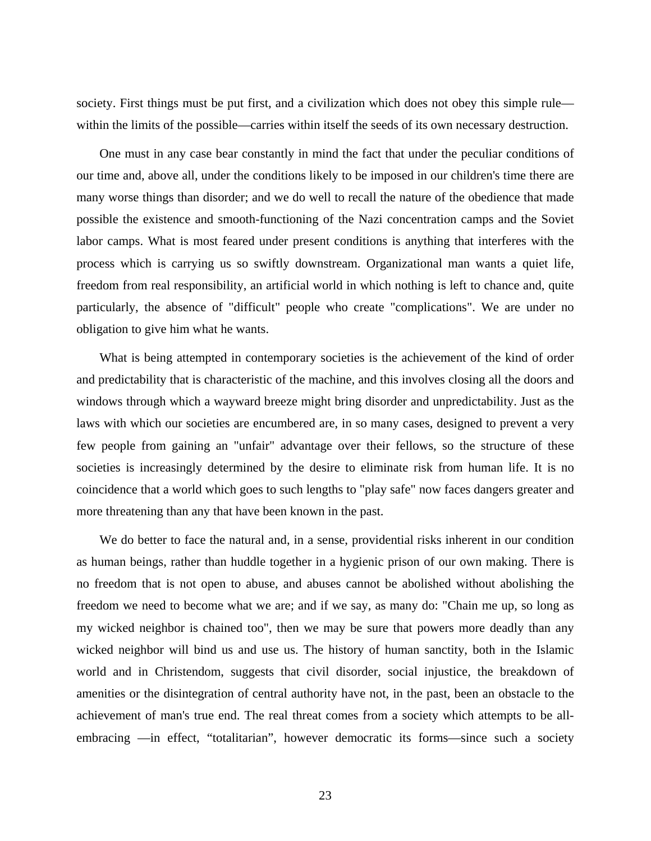society. First things must be put first, and a civilization which does not obey this simple rule within the limits of the possible—carries within itself the seeds of its own necessary destruction.

One must in any case bear constantly in mind the fact that under the peculiar conditions of our time and, above all, under the conditions likely to be imposed in our children's time there are many worse things than disorder; and we do well to recall the nature of the obedience that made possible the existence and smooth-functioning of the Nazi concentration camps and the Soviet labor camps. What is most feared under present conditions is anything that interferes with the process which is carrying us so swiftly downstream. Organizational man wants a quiet life, freedom from real responsibility, an artificial world in which nothing is left to chance and, quite particularly, the absence of "difficult" people who create "complications". We are under no obligation to give him what he wants.

What is being attempted in contemporary societies is the achievement of the kind of order and predictability that is characteristic of the machine, and this involves closing all the doors and windows through which a wayward breeze might bring disorder and unpredictability. Just as the laws with which our societies are encumbered are, in so many cases, designed to prevent a very few people from gaining an "unfair" advantage over their fellows, so the structure of these societies is increasingly determined by the desire to eliminate risk from human life. It is no coincidence that a world which goes to such lengths to "play safe" now faces dangers greater and more threatening than any that have been known in the past.

We do better to face the natural and, in a sense, providential risks inherent in our condition as human beings, rather than huddle together in a hygienic prison of our own making. There is no freedom that is not open to abuse, and abuses cannot be abolished without abolishing the freedom we need to become what we are; and if we say, as many do: "Chain me up, so long as my wicked neighbor is chained too", then we may be sure that powers more deadly than any wicked neighbor will bind us and use us. The history of human sanctity, both in the Islamic world and in Christendom, suggests that civil disorder, social injustice, the breakdown of amenities or the disintegration of central authority have not, in the past, been an obstacle to the achievement of man's true end. The real threat comes from a society which attempts to be allembracing —in effect, "totalitarian", however democratic its forms—since such a society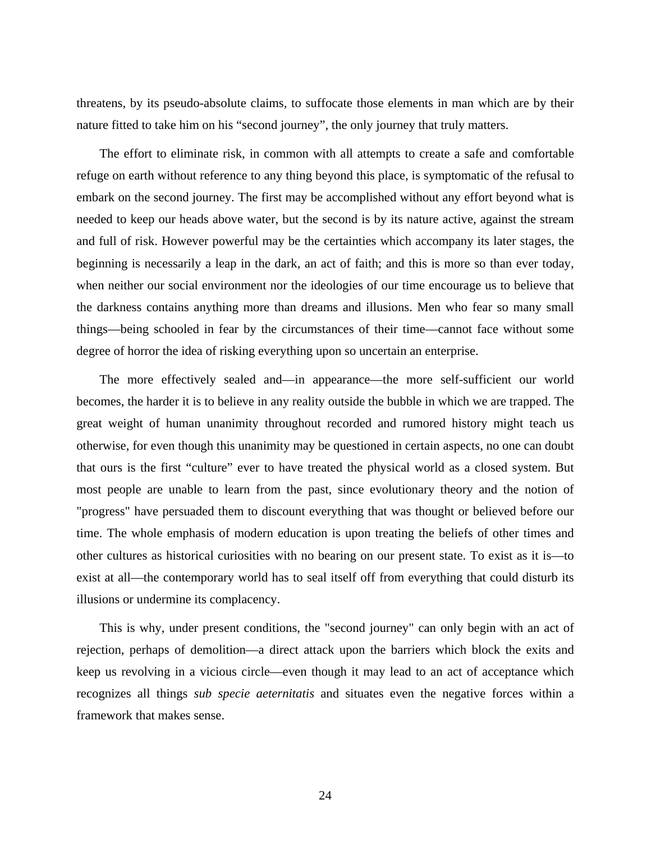threatens, by its pseudo-absolute claims, to suffocate those elements in man which are by their nature fitted to take him on his "second journey", the only journey that truly matters.

The effort to eliminate risk, in common with all attempts to create a safe and comfortable refuge on earth without reference to any thing beyond this place, is symptomatic of the refusal to embark on the second journey. The first may be accomplished without any effort beyond what is needed to keep our heads above water, but the second is by its nature active, against the stream and full of risk. However powerful may be the certainties which accompany its later stages, the beginning is necessarily a leap in the dark, an act of faith; and this is more so than ever today, when neither our social environment nor the ideologies of our time encourage us to believe that the darkness contains anything more than dreams and illusions. Men who fear so many small things—being schooled in fear by the circumstances of their time—cannot face without some degree of horror the idea of risking everything upon so uncertain an enterprise.

The more effectively sealed and—in appearance—the more self-sufficient our world becomes, the harder it is to believe in any reality outside the bubble in which we are trapped. The great weight of human unanimity throughout recorded and rumored history might teach us otherwise, for even though this unanimity may be questioned in certain aspects, no one can doubt that ours is the first "culture" ever to have treated the physical world as a closed system. But most people are unable to learn from the past, since evolutionary theory and the notion of "progress" have persuaded them to discount everything that was thought or believed before our time. The whole emphasis of modern education is upon treating the beliefs of other times and other cultures as historical curiosities with no bearing on our present state. To exist as it is—to exist at all—the contemporary world has to seal itself off from everything that could disturb its illusions or undermine its complacency.

This is why, under present conditions, the "second journey" can only begin with an act of rejection, perhaps of demolition—a direct attack upon the barriers which block the exits and keep us revolving in a vicious circle—even though it may lead to an act of acceptance which recognizes all things *sub specie aeternitatis* and situates even the negative forces within a framework that makes sense.